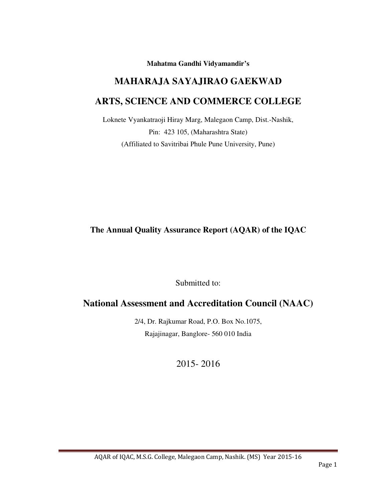**Mahatma Gandhi Vidyamandir's** 

# **MAHARAJA SAYAJIRAO GAEKWAD ARTS, SCIENCE AND COMMERCE COLLEGE**

Loknete Vyankatraoji Hiray Marg, Malegaon Camp, Dist.-Nashik, Pin: 423 105, (Maharashtra State) (Affiliated to Savitribai Phule Pune University, Pune)

**The Annual Quality Assurance Report (AQAR) of the IQAC** 

Submitted to:

# **National Assessment and Accreditation Council (NAAC)**

2/4, Dr. Rajkumar Road, P.O. Box No.1075, Rajajinagar, Banglore- 560 010 India

2015- 2016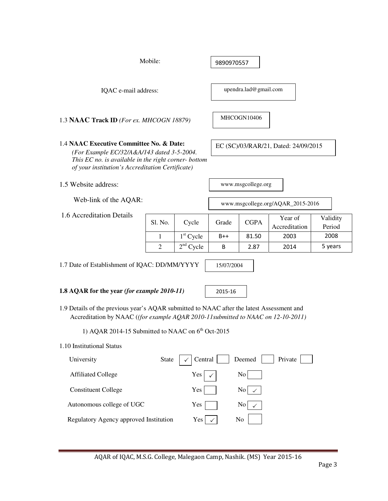|                                                                                                                                                                                                    | Mobile:        | 9890970557  |       |                       |                                      |                    |  |  |
|----------------------------------------------------------------------------------------------------------------------------------------------------------------------------------------------------|----------------|-------------|-------|-----------------------|--------------------------------------|--------------------|--|--|
| IQAC e-mail address:                                                                                                                                                                               |                |             |       | upendra.lad@gmail.com |                                      |                    |  |  |
| MHCOGN10406<br>1.3 NAAC Track ID (For ex. MHCOGN 18879)                                                                                                                                            |                |             |       |                       |                                      |                    |  |  |
| 1.4 NAAC Executive Committee No. & Date:<br>(For Example EC/32/A&A/143 dated 3-5-2004.<br>This EC no. is available in the right corner- bottom<br>of your institution's Accreditation Certificate) |                |             |       |                       | EC (SC)/03/RAR/21, Dated: 24/09/2015 |                    |  |  |
| 1.5 Website address:                                                                                                                                                                               |                |             |       | www.msgcollege.org    |                                      |                    |  |  |
| Web-link of the AQAR:                                                                                                                                                                              |                |             |       |                       | www.msgcollege.org/AQAR_2015-2016    |                    |  |  |
| 1.6 Accreditation Details                                                                                                                                                                          | Sl. No.        | Cycle       | Grade | <b>CGPA</b>           | Year of<br>Accreditation             | Validity<br>Period |  |  |
|                                                                                                                                                                                                    | 1              | $1st$ Cycle | $B++$ | 81.50                 | 2003                                 | 2008               |  |  |
|                                                                                                                                                                                                    | $\overline{2}$ | $2nd$ Cycle | B     | 2.87                  | 2014                                 | 5 years            |  |  |
| 1.7 Date of Establishment of IQAC: DD/MM/YYYY<br>15/07/2004<br>1.8 AQAR for the year (for example 2010-11)<br>2015-16                                                                              |                |             |       |                       |                                      |                    |  |  |
| 1.9 Details of the previous year's AQAR submitted to NAAC after the latest Assessment and<br>Accreditation by NAAC ((for example AQAR 2010-11 submitted to NAAC on 12-10-2011)                     |                |             |       |                       |                                      |                    |  |  |
| 1) AQAR 2014-15 Submitted to NAAC on $6th$ Oct-2015                                                                                                                                                |                |             |       |                       |                                      |                    |  |  |
| 1.10 Institutional Status                                                                                                                                                                          |                |             |       |                       |                                      |                    |  |  |
| Central<br>Deemed<br>Private<br>University<br>State                                                                                                                                                |                |             |       |                       |                                      |                    |  |  |
| No<br><b>Affiliated College</b><br>Yes                                                                                                                                                             |                |             |       |                       |                                      |                    |  |  |
| <b>Constituent College</b><br>$\rm{No}$<br>Yes                                                                                                                                                     |                |             |       |                       |                                      |                    |  |  |
| Autonomous college of UGC<br>Yes<br>No                                                                                                                                                             |                |             |       |                       |                                      |                    |  |  |
| Regulatory Agency approved Institution<br>Yes<br>No                                                                                                                                                |                |             |       |                       |                                      |                    |  |  |
|                                                                                                                                                                                                    |                |             |       |                       |                                      |                    |  |  |
| AOAR of JOAC M S G College Malegaon Camp Nashik (MS) Year 2015-16                                                                                                                                  |                |             |       |                       |                                      |                    |  |  |

AQAR of IQAC, M.S.G. College, Malegaon Camp, Nashik. (MS) Year 2015-16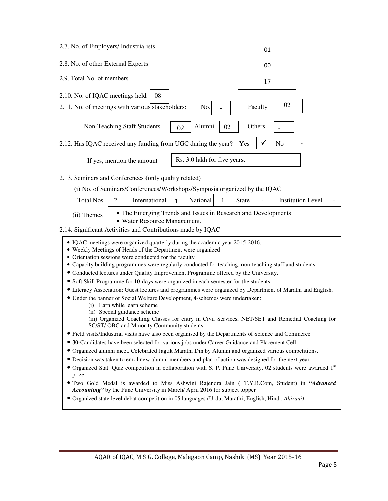| 2.7. No. of Employers/ Industrialists                                                                                                                                                                               | 01                                                                                          |  |  |  |  |  |  |
|---------------------------------------------------------------------------------------------------------------------------------------------------------------------------------------------------------------------|---------------------------------------------------------------------------------------------|--|--|--|--|--|--|
| 2.8. No. of other External Experts                                                                                                                                                                                  | 00                                                                                          |  |  |  |  |  |  |
| 2.9. Total No. of members                                                                                                                                                                                           | 17                                                                                          |  |  |  |  |  |  |
| 2.10. No. of IQAC meetings held<br>08                                                                                                                                                                               |                                                                                             |  |  |  |  |  |  |
| 2.11. No. of meetings with various stakeholders:<br>No.                                                                                                                                                             | 02<br>Faculty                                                                               |  |  |  |  |  |  |
| Alumni<br>Non-Teaching Staff Students<br>02<br>02                                                                                                                                                                   | Others                                                                                      |  |  |  |  |  |  |
| 2.12. Has IQAC received any funding from UGC during the year?                                                                                                                                                       | No<br>Yes                                                                                   |  |  |  |  |  |  |
| Rs. 3.0 lakh for five years.<br>If yes, mention the amount                                                                                                                                                          |                                                                                             |  |  |  |  |  |  |
| 2.13. Seminars and Conferences (only quality related)                                                                                                                                                               |                                                                                             |  |  |  |  |  |  |
| (i) No. of Seminars/Conferences/Workshops/Symposia organized by the IQAC                                                                                                                                            |                                                                                             |  |  |  |  |  |  |
| International<br>National<br>Total Nos.<br>2<br>1<br>$\mathbf{1}$                                                                                                                                                   | <b>Institution Level</b><br><b>State</b>                                                    |  |  |  |  |  |  |
|                                                                                                                                                                                                                     |                                                                                             |  |  |  |  |  |  |
| • The Emerging Trends and Issues in Research and Developments<br>(ii) Themes                                                                                                                                        |                                                                                             |  |  |  |  |  |  |
| • Water Resource Management.<br>2.14. Significant Activities and Contributions made by IQAC                                                                                                                         |                                                                                             |  |  |  |  |  |  |
|                                                                                                                                                                                                                     |                                                                                             |  |  |  |  |  |  |
| • IQAC meetings were organized quarterly during the academic year 2015-2016.                                                                                                                                        |                                                                                             |  |  |  |  |  |  |
| • Weekly Meetings of Heads of the Department were organized<br>• Orientation sessions were conducted for the faculty                                                                                                |                                                                                             |  |  |  |  |  |  |
| • Capacity building programmes were regularly conducted for teaching, non-teaching staff and students                                                                                                               |                                                                                             |  |  |  |  |  |  |
| • Conducted lectures under Quality Improvement Programme offered by the University.                                                                                                                                 |                                                                                             |  |  |  |  |  |  |
| • Soft Skill Programme for 10-days were organized in each semester for the students                                                                                                                                 |                                                                                             |  |  |  |  |  |  |
| • Literacy Association: Guest lectures and programmes were organized by Department of Marathi and English.                                                                                                          |                                                                                             |  |  |  |  |  |  |
| • Under the banner of Social Welfare Development, 4-schemes were undertaken:                                                                                                                                        |                                                                                             |  |  |  |  |  |  |
| (i) Earn while learn scheme<br>(ii) Special guidance scheme                                                                                                                                                         |                                                                                             |  |  |  |  |  |  |
| (iii) Organized Coaching Classes for entry in Civil Services, NET/SET and Remedial Coaching for                                                                                                                     |                                                                                             |  |  |  |  |  |  |
| SC/ST/ OBC and Minority Community students                                                                                                                                                                          |                                                                                             |  |  |  |  |  |  |
| • Field visits/Industrial visits have also been organised by the Departments of Science and Commerce                                                                                                                |                                                                                             |  |  |  |  |  |  |
| • 30-Candidates have been selected for various jobs under Career Guidance and Placement Cell                                                                                                                        |                                                                                             |  |  |  |  |  |  |
| • Organized alumni meet. Celebrated Jagtik Marathi Din by Alumni and organized various competitions.                                                                                                                |                                                                                             |  |  |  |  |  |  |
| • Decision was taken to enrol new alumni members and plan of action was designed for the next year.<br>• Organized Stat. Quiz competition in collaboration with S. P. Pune University, 02 students were awarded 1st |                                                                                             |  |  |  |  |  |  |
| prize                                                                                                                                                                                                               |                                                                                             |  |  |  |  |  |  |
| Accounting" by the Pune University in March/ April 2016 for subject topper                                                                                                                                          | . Two Gold Medal is awarded to Miss Ashwini Rajendra Jain (T.Y.B.Com, Student) in "Advanced |  |  |  |  |  |  |
| • Organized state level debat competition in 05 languages (Urdu, Marathi, English, Hindi, Ahirani)                                                                                                                  |                                                                                             |  |  |  |  |  |  |
|                                                                                                                                                                                                                     |                                                                                             |  |  |  |  |  |  |
|                                                                                                                                                                                                                     |                                                                                             |  |  |  |  |  |  |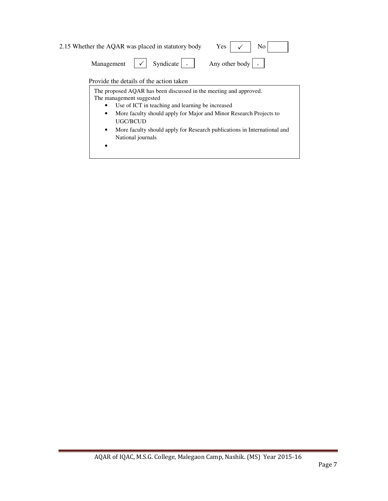| 2.15 Whether the AQAR was placed in statutory body                                                   | Yes $\vert \checkmark$ No |  |
|------------------------------------------------------------------------------------------------------|---------------------------|--|
| Management $\vert \checkmark \vert$ Syndicate $\vert \cdot \vert$ Any other body $\vert \cdot \vert$ |                           |  |

#### Provide the details of the action taken

• More faculty should apply for Major and Minor Research Projects to UGC/BCUD The proposed AQAR has been discussed in the meeting and approved. The management suggested • Use of ICT in teaching and learning be increased UGC/BCUD • More faculty should apply for Research publications in International and National journals •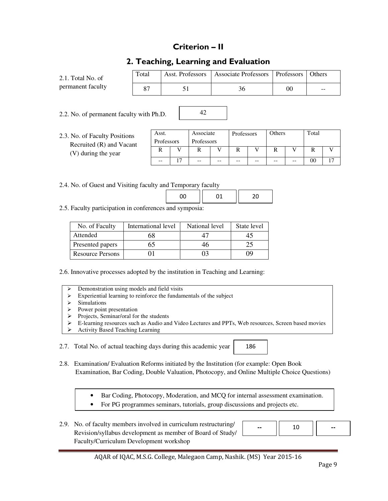# Criterion – II

# 2. Teaching, Learning and Evaluation

42

| $2.1.$ Total No. of | Total | Asst. Professors | Associate Professors   Professors |    | <b>Others</b> |
|---------------------|-------|------------------|-----------------------------------|----|---------------|
| permanent faculty   |       |                  |                                   | 00 | $- -$         |

2.2. No. of permanent faculty with Ph.D.

2.3. No. of Faculty Po Recruited  $(R)$  and  $(V)$  during the year

| ositions<br>l Vacant | Asst.<br>Professors | Associate<br>Professors |       | Professors |    | Others |    | Total |  |
|----------------------|---------------------|-------------------------|-------|------------|----|--------|----|-------|--|
| ar                   | R                   |                         |       | г          |    |        |    |       |  |
|                      | --                  | $- -$                   | $- -$ | $- -$      | -- | --     | -- | 00    |  |

2.4. No. of Guest and Visiting faculty and Temporary faculty

2.5. Faculty participation in conferences and symposia:

| No. of Faculty          | International level | National level | State level |
|-------------------------|---------------------|----------------|-------------|
| Attended                | ά٢                  | 47             |             |
| Presented papers        |                     | 46             |             |
| <b>Resource Persons</b> |                     |                |             |

2.6. Innovative processes adopted by the institution in Teaching and Learning:

- Demonstration using models and field visits
- Experiential learning to reinforce the fundamentals of the subject
- $\triangleright$  Simulations
- Power point presentation<br>Projects. Seminar/oral form
- Projects, Seminar/oral for the students
- E-learning resources such as Audio and Video Lectures and PPTs, Web resources, Screen based movies
- Activity Based Teaching Learning

2.7. Total No. of actual teaching days during this academic year

186

2.8. Examination/ Evaluation Reforms initiated by the Institution (for example: Open Book Examination, Bar Coding, Double Valuation, Photocopy, and Online Multiple Choice Questions)

- Bar Coding, Photocopy, Moderation, and MCQ for internal assessment examination.
- For PG programmes seminars, tutorials, group discussions and projects etc.
- 2.9. No. of faculty members involved in curriculum restructuring/ Revision/syllabus development as member of Board of Study/ Faculty/Curriculum Development workshop

|--|--|--|--|

#### AQAR of IQAC, M.S.G. College, Malegaon Camp, Nashik. (MS) Year 2015-16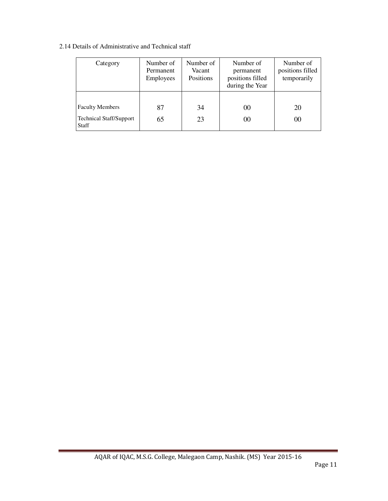2.14 Details of Administrative and Technical staff

| Category                                                                 | Number of<br>Permanent<br>Employees | Number of<br>Vacant<br>Positions | Number of<br>permanent<br>positions filled<br>during the Year | Number of<br>positions filled<br>temporarily |
|--------------------------------------------------------------------------|-------------------------------------|----------------------------------|---------------------------------------------------------------|----------------------------------------------|
| <b>Faculty Members</b><br><b>Technical Staff/Support</b><br><b>Staff</b> | 87<br>65                            | 34<br>23                         | 00<br>00                                                      | 20<br>00                                     |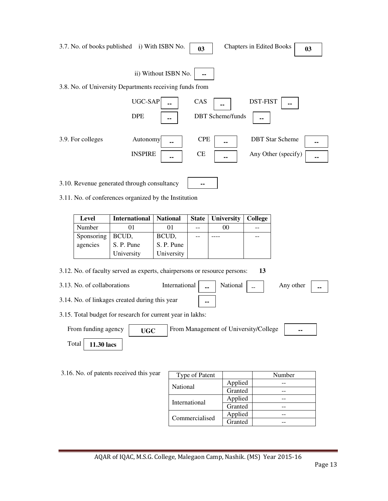|                                                                       |                     | 3.7. No. of books published i) With ISBN No.                              |                      | 03               |  |                         | <b>Chapters in Edited Books</b>       |                                               | 0 <sub>3</sub> |
|-----------------------------------------------------------------------|---------------------|---------------------------------------------------------------------------|----------------------|------------------|--|-------------------------|---------------------------------------|-----------------------------------------------|----------------|
|                                                                       |                     | 3.8. No. of University Departments receiving funds from                   | ii) Without ISBN No. | --               |  |                         |                                       |                                               |                |
|                                                                       |                     | UGC-SAP<br><b>DPE</b>                                                     |                      | CAS              |  | <b>DBT</b> Scheme/funds | <b>DST-FIST</b>                       |                                               |                |
|                                                                       | 3.9. For colleges   | Autonomy<br><b>INSPIRE</b>                                                |                      | <b>CPE</b><br>CE |  |                         |                                       | <b>DBT</b> Star Scheme<br>Any Other (specify) | ۰.<br>--       |
|                                                                       |                     | 3.10. Revenue generated through consultancy                               |                      |                  |  |                         |                                       |                                               |                |
|                                                                       |                     | 3.11. No. of conferences organized by the Institution                     |                      |                  |  |                         |                                       |                                               |                |
|                                                                       | <b>Level</b>        | <b>International</b>                                                      | <b>National</b>      | <b>State</b>     |  | University              | <b>College</b>                        |                                               |                |
|                                                                       | Number              | 01                                                                        | 01                   |                  |  | 00                      |                                       |                                               |                |
| Sponsoring<br>BCUD,<br>BCUD,                                          |                     |                                                                           |                      |                  |  |                         |                                       |                                               |                |
|                                                                       | agencies            | S. P. Pune                                                                | S. P. Pune           |                  |  |                         |                                       |                                               |                |
|                                                                       |                     | University                                                                | University           |                  |  |                         |                                       |                                               |                |
|                                                                       |                     | 3.12. No. of faculty served as experts, chairpersons or resource persons: |                      |                  |  |                         | 13                                    |                                               |                |
| 3.13. No. of collaborations<br>International<br>National<br>Any other |                     |                                                                           |                      |                  |  |                         |                                       |                                               |                |
|                                                                       |                     | 3.14. No. of linkages created during this year                            |                      | --               |  |                         |                                       |                                               |                |
|                                                                       |                     | 3.15. Total budget for research for current year in lakhs:                |                      |                  |  |                         |                                       |                                               |                |
|                                                                       | From funding agency | <b>UGC</b>                                                                |                      |                  |  |                         | From Management of University/College |                                               |                |
|                                                                       | Total<br>11.30 lacs |                                                                           |                      |                  |  |                         |                                       |                                               |                |
|                                                                       |                     |                                                                           |                      |                  |  |                         |                                       |                                               |                |
|                                                                       |                     | 3.16. No. of patents received this year                                   |                      | Type of Patent   |  |                         |                                       | Number                                        |                |
|                                                                       |                     |                                                                           | National             |                  |  | Applied                 |                                       |                                               |                |
|                                                                       |                     |                                                                           |                      |                  |  | Granted                 |                                       | --                                            |                |
|                                                                       |                     |                                                                           |                      | International    |  | Applied                 |                                       | --                                            |                |
|                                                                       |                     |                                                                           |                      |                  |  | Granted                 |                                       | --                                            |                |
|                                                                       |                     |                                                                           |                      | Commercialised   |  | Applied<br>Granted      |                                       | --<br>$-$                                     |                |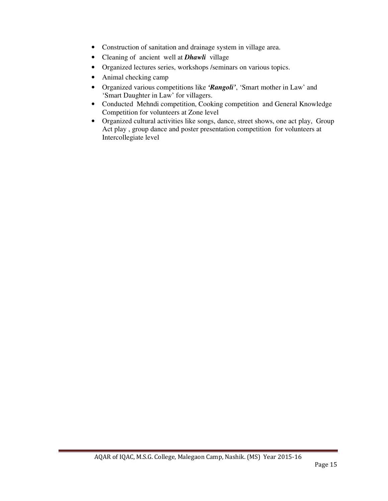- Construction of sanitation and drainage system in village area.
- Cleaning of ancient well at *Dhawli*village
- Organized lectures series, workshops /seminars on various topics.
- Animal checking camp
- Organized various competitions like *'Rangoli'*, 'Smart mother in Law' and 'Smart Daughter in Law' for villagers.
- Conducted Mehndi competition, Cooking competition and General Knowledge Competition for volunteers at Zone level
- Organized cultural activities like songs, dance, street shows, one act play, Group Act play , group dance and poster presentation competition for volunteers at Intercollegiate level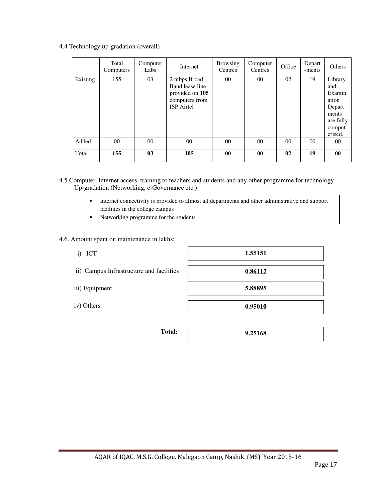4.4 Technology up-gradation (overall)

|          | Total<br>Computers | Computer<br>Labs | Internet                                                                                  | <b>Browsing</b><br>Centres | Computer<br>Centres | Office | Depart<br>-ments | Others                                                                                 |
|----------|--------------------|------------------|-------------------------------------------------------------------------------------------|----------------------------|---------------------|--------|------------------|----------------------------------------------------------------------------------------|
| Existing | 155                | 03               | 2 mbps Broad<br>Band lease line<br>provided on 105<br>computers from<br><b>ISP</b> Airtel | $00\,$                     | $00\,$              | 02     | 19               | Library<br>and<br>Examin<br>ation<br>Depart<br>ments<br>are fully<br>comput<br>erised. |
| Added    | $00\,$             | $00\,$           | $00\,$                                                                                    | $00\,$                     | $00\,$              | $00\,$ | $00\,$           | $00\,$                                                                                 |
| Total    | 155                | 0 <sub>3</sub>   | 105                                                                                       | $\bf{00}$                  | $\bf{00}$           | 02     | 19               | $\bf{00}$                                                                              |

4.5 Computer, Internet access, training to teachers and students and any other programme for technology Up-gradation (Networking, e-Governance etc.)

- Internet connectivity is provided to almost all departments and other administrative and support facilities in the college campus
- Networking programme for the students

#### 4.6. Amount spent on maintenance in lakhs:

i) ICT

|  | ii) Campus Infrastructure and facilities |  |
|--|------------------------------------------|--|
|--|------------------------------------------|--|

- iii) Equipment
- iv) Others

**Total:** 

| 1.55151 |
|---------|
|         |
| 0.86112 |
|         |
| 5.88895 |
|         |
| 0.95010 |
|         |

**9.25168**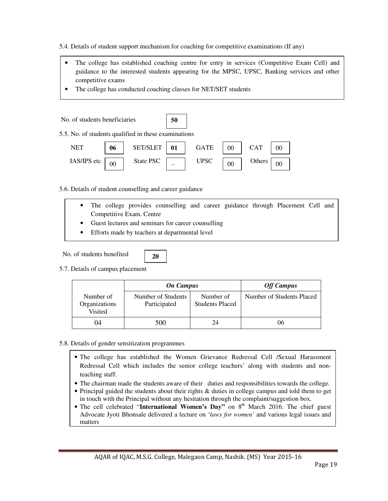5.4. Details of student support mechanism for coaching for competitive examinations (If any)

- The college has established coaching centre for entry in services (Competitive Exam Cell) and guidance to the interested students appearing for the MPSC, UPSC, Banking services and other competitive exams
- The college has conducted coaching classes for NET/SET students

| No. of students beneficiaries                        |    |           | 50 |             |    |            |        |
|------------------------------------------------------|----|-----------|----|-------------|----|------------|--------|
| 5.5. No. of students qualified in these examinations |    |           |    |             |    |            |        |
| <b>NET</b>                                           | 06 | SET/SLET  | 01 | <b>GATE</b> | 00 | <b>CAT</b> | $00\,$ |
| IAS/IPS etc                                          |    | State PSC |    | <b>UPSC</b> | 00 | Others     |        |

5.6. Details of student counselling and career guidance

- The college provides counselling and career guidance through Placement Cell and Competitive Exam. Centre
	- Guest lectures and seminars for career counselling

**20** 

• Efforts made by teachers at departmental level

No. of students benefited

5.7. Details of campus placement

|                                       | <b>On Campus</b>                   |                                     | <b>Off Campus</b>         |
|---------------------------------------|------------------------------------|-------------------------------------|---------------------------|
| Number of<br>Organizations<br>Visited | Number of Students<br>Participated | Number of<br><b>Students Placed</b> | Number of Students Placed |
| 04                                    | 500                                | 24                                  | 06                        |

- 5.8. Details of gender sensitization programmes
	- The college has established the Women Grievance Redressal Cell /Sexual Harassment Redressal Cell which includes the senior college teachers' along with students and nonteaching staff.
	- The chairman made the students aware of their duties and responsibilities towards the college.
	- Principal guided the students about their rights & duties in college campus and told them to get in touch with the Principal without any hesitation through the complaint/suggestion box.
	- The cell celebrated "International Women's Day" on 8<sup>th</sup> March 2016. The chief guest Advocate Jyoti Bhonsale delivered a lecture on '*laws for women'* and various legal issues and matters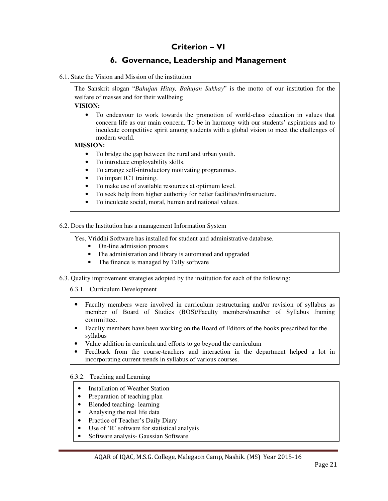# Criterion – VI

# 6. Governance, Leadership and Management

#### 6.1. State the Vision and Mission of the institution

The Sanskrit slogan "*Bahujan Hitay, Bahujan Sukhay*" is the motto of our institution for the welfare of masses and for their wellbeing

**VISION:** 

• To endeavour to work towards the promotion of world-class education in values that concern life as our main concern. To be in harmony with our students' aspirations and to inculcate competitive spirit among students with a global vision to meet the challenges of modern world.

#### **MISSION:**

- To bridge the gap between the rural and urban youth.
- To introduce employability skills.
- To arrange self-introductory motivating programmes.
- To impart ICT training.
- To make use of available resources at optimum level.
- To seek help from higher authority for better facilities/infrastructure.
- To inculcate social, moral, human and national values.

6.2. Does the Institution has a management Information System

Yes, Vriddhi Software has installed for student and administrative database.

- On-line admission process
- The administration and library is automated and upgraded
- The finance is managed by Tally software
- 6.3. Quality improvement strategies adopted by the institution for each of the following:

#### 6.3.1. Curriculum Development

- Faculty members were involved in curriculum restructuring and/or revision of syllabus as member of Board of Studies (BOS)/Faculty members/member of Syllabus framing committee.
- Faculty members have been working on the Board of Editors of the books prescribed for the syllabus
- Value addition in curricula and efforts to go beyond the curriculum
- Feedback from the course-teachers and interaction in the department helped a lot in incorporating current trends in syllabus of various courses.

6.3.2. Teaching and Learning

- Installation of Weather Station
- Preparation of teaching plan
- Blended teaching-learning
- Analysing the real life data
- Practice of Teacher's Daily Diary
- Use of 'R' software for statistical analysis
- Software analysis- Gaussian Software.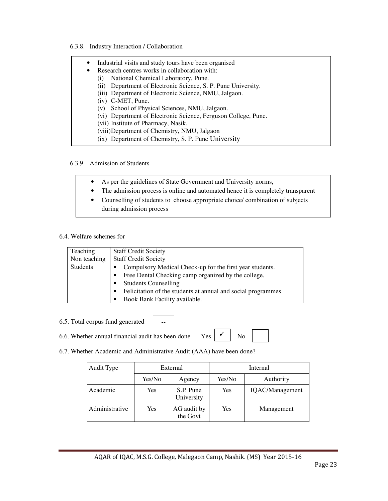6.3.8. Industry Interaction / Collaboration

| $\bullet$ | Industrial visits and study tours have been organised            |
|-----------|------------------------------------------------------------------|
| ٠         | Research centres works in collaboration with:                    |
|           | National Chemical Laboratory, Pune.<br>(1)                       |
|           | Department of Electronic Science, S. P. Pune University.<br>(11) |
|           | (iii) Department of Electronic Science, NMU, Jalgaon.            |
|           | $(iv)$ C-MET, Pune.                                              |
|           | School of Physical Sciences, NMU, Jalgaon.<br>(V)                |
|           | (vi) Department of Electronic Science, Ferguson College, Pune.   |
|           | (vii) Institute of Pharmacy, Nasik.                              |
|           | (viii) Department of Chemistry, NMU, Jalgaon                     |
|           | (ix) Department of Chemistry, S. P. Pune University              |
|           |                                                                  |

#### 6.3.9. Admission of Students

- As per the guidelines of State Government and University norms,
- The admission process is online and automated hence it is completely transparent
- Counselling of students to choose appropriate choice/ combination of subjects during admission process

#### 6.4. Welfare schemes for

| Teaching        | <b>Staff Credit Society</b>                                   |
|-----------------|---------------------------------------------------------------|
| Non teaching    | <b>Staff Credit Society</b>                                   |
| <b>Students</b> | Compulsory Medical Check-up for the first year students.<br>٠ |
|                 | Free Dental Checking camp organized by the college.           |
|                 | <b>Students Counselling</b>                                   |
|                 | Felicitation of the students at annual and social programmes  |
|                 | Book Bank Facility available.                                 |

- 6.5. Total corpus fund generated
- 6.6. Whether annual financial audit has been done Yes  $\begin{array}{c|c} \sim \\ \sim \end{array}$  No
- 

 $\checkmark$ 

6.7. Whether Academic and Administrative Audit (AAA) have been done?

--

| Audit Type     | External |                         | Internal |                 |  |
|----------------|----------|-------------------------|----------|-----------------|--|
|                | Yes/No   | Agency                  | Yes/No   | Authority       |  |
| Academic       | Yes      | S.P. Pune<br>University | Yes      | IQAC/Management |  |
| Administrative | Yes      | AG audit by<br>the Govt | Yes      | Management      |  |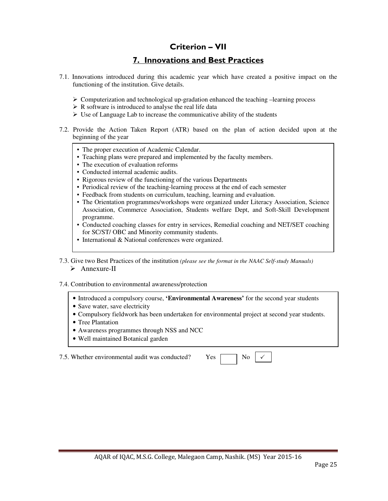### Criterion – VII

# 7. Innovations and Best Practices

- 7.1. Innovations introduced during this academic year which have created a positive impact on the functioning of the institution. Give details.
	- $\triangleright$  Computerization and technological up-gradation enhanced the teaching –learning process
	- $\triangleright$  R software is introduced to analyse the real life data
	- $\triangleright$  Use of Language Lab to increase the communicative ability of the students
- 7.2. Provide the Action Taken Report (ATR) based on the plan of action decided upon at the beginning of the year
	- The proper execution of Academic Calendar.
	- Teaching plans were prepared and implemented by the faculty members.
	- The execution of evaluation reforms
	- Conducted internal academic audits.
	- Rigorous review of the functioning of the various Departments
	- Periodical review of the teaching-learning process at the end of each semester
	- Feedback from students on curriculum, teaching, learning and evaluation.
	- The Orientation programmes/workshops were organized under Literacy Association, Science Association, Commerce Association, Students welfare Dept, and Soft-Skill Development programme.
	- Conducted coaching classes for entry in services, Remedial coaching and NET/SET coaching for SC/ST/ OBC and Minority community students.
	- International & National conferences were organized.
- 7.3. Give two Best Practices of the institution *(please see the format in the NAAC Self-study Manuals)*  $\triangleright$  Annexure-II

#### 7.4. Contribution to environmental awareness/protection

- Introduced a compulsory course, **'Environmental Awareness'** for the second year students
- Save water, save electricity
- Compulsory fieldwork has been undertaken for environmental project at second year students.
- Tree Plantation
- Awareness programmes through NSS and NCC
- Well maintained Botanical garden

7.5. Whether environmental audit was conducted? Yes

|  | ۰.<br>.,<br>× |
|--|---------------|
|--|---------------|

 $\checkmark$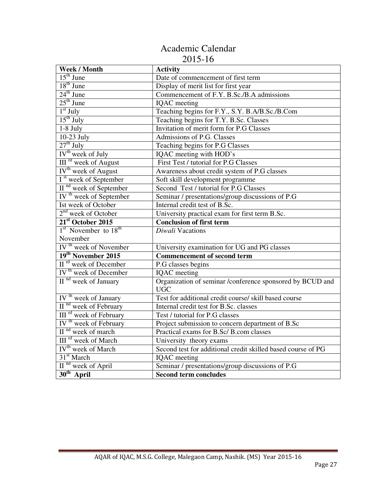# Academic Calendar 2015-16

| Week / Month                                                                      | <b>Activity</b>                                                         |
|-----------------------------------------------------------------------------------|-------------------------------------------------------------------------|
| $15th$ June                                                                       | Date of commencement of first term                                      |
| $18th$ June                                                                       | Display of merit list for first year                                    |
| $24th$ June                                                                       | Commencement of F.Y. B.Sc./B.A admissions                               |
| $25th$ June                                                                       | <b>IQAC</b> meeting                                                     |
| $1st$ July                                                                        | Teaching begins for F.Y., S.Y. B.A/B.Sc./B.Com                          |
| $15th$ July                                                                       | Teaching begins for T.Y. B.Sc. Classes                                  |
| $1-8$ July                                                                        | Invitation of merit form for P.G Classes                                |
| $10-23$ July                                                                      | Admissions of P.G. Classes                                              |
| $27th$ July                                                                       | Teaching begins for P.G Classes                                         |
| IV <sup>th</sup> week of July                                                     | IQAC meeting with HOD's                                                 |
| III <sup>rd</sup> week of August                                                  | First Test / tutorial for P.G Classes                                   |
| IV <sup>th</sup> week of August                                                   | Awareness about credit system of P.G classes                            |
| I <sup>st</sup> week of September                                                 | Soft skill development programme                                        |
| II <sup>nd</sup> week of September                                                | Second Test / tutorial for P.G Classes                                  |
| IV <sup>th</sup> week of September                                                | Seminar / presentations/group discussions of P.G                        |
| Ist week of October                                                               | Internal credit test of B.Sc.                                           |
| $2nd$ week of October                                                             | University practical exam for first term B.Sc.                          |
| $21st$ October 2015                                                               | <b>Conclusion of first term</b>                                         |
| 1 <sup>st</sup> November to 18 <sup>th</sup>                                      | Diwali Vacations                                                        |
| November                                                                          |                                                                         |
| IV <sup>th</sup> week of November                                                 | University examination for UG and PG classes                            |
| $\frac{19^{th}}{11^{rd}} \text{November } 2015$ II <sup>rd</sup> week of December | <b>Commencement of second term</b>                                      |
|                                                                                   |                                                                         |
|                                                                                   | P.G classes begins                                                      |
| IV <sup>th</sup> week of December                                                 | IQAC meeting                                                            |
| $\frac{1}{\prod$ <sup>nd</sup> week of January                                    | Organization of seminar /conference sponsored by BCUD and<br><b>UGC</b> |
|                                                                                   | Test for additional credit course/ skill based course                   |
| IV <sup>th</sup> week of January<br>II <sup>nd</sup> week of February             | Internal credit test for B.Sc. classes                                  |
|                                                                                   | Test / tutorial for P.G classes                                         |
| III <sup>rd</sup> week of February<br>IV <sup>th</sup> week of February           | Project submission to concern department of B.Sc                        |
| $\overline{II}$ <sup>nd</sup> week of march                                       | Practical exams for B.Sc/ B.com classes                                 |
| III <sup>rd</sup> week of March                                                   | University theory exams                                                 |
| IV <sup>th</sup> week of March                                                    | Second test for additional credit skilled based course of PG            |
| 31 <sup>st</sup> March                                                            | <b>IQAC</b> meeting                                                     |
| II <sup>nd</sup> week of April<br>$30th$ April                                    | Seminar / presentations/group discussions of P.G                        |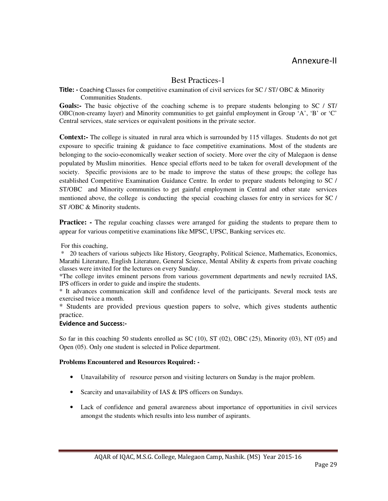### Best Practices-1

Title: - Coaching Classes for competitive examination of civil services for SC / ST/ OBC & Minority Communities Students.

**Goals:-** The basic objective of the coaching scheme is to prepare students belonging to SC / ST/ OBC(non-creamy layer) and Minority communities to get gainful employment in Group 'A', 'B' or 'C' Central services, state services or equivalent positions in the private sector.

**Context:-** The college is situated in rural area which is surrounded by 115 villages. Students do not get exposure to specific training & guidance to face competitive examinations. Most of the students are belonging to the socio-economically weaker section of society. More over the city of Malegaon is dense populated by Muslim minorities. Hence special efforts need to be taken for overall development of the society. Specific provisions are to be made to improve the status of these groups; the college has established Competitive Examination Guidance Centre. In order to prepare students belonging to SC / ST/OBC and Minority communities to get gainful employment in Central and other state services mentioned above, the college is conducting the special coaching classes for entry in services for SC / ST /OBC & Minority students.

**Practice:** - The regular coaching classes were arranged for guiding the students to prepare them to appear for various competitive examinations like MPSC, UPSC, Banking services etc.

For this coaching,

 \* 20 teachers of various subjects like History, Geography, Political Science, Mathematics, Economics, Marathi Literature, English Literature, General Science, Mental Ability & experts from private coaching classes were invited for the lectures on every Sunday.

\*The college invites eminent persons from various government departments and newly recruited IAS, IPS officers in order to guide and inspire the students.

\* It advances communication skill and confidence level of the participants. Several mock tests are exercised twice a month.

\* Students are provided previous question papers to solve, which gives students authentic practice.

#### Evidence and Success:-

So far in this coaching 50 students enrolled as SC (10), ST (02), OBC (25), Minority (03), NT (05) and Open (05). Only one student is selected in Police department.

#### **Problems Encountered and Resources Required: -**

- Unavailability of resource person and visiting lecturers on Sunday is the major problem.
- Scarcity and unavailability of IAS & IPS officers on Sundays.
- Lack of confidence and general awareness about importance of opportunities in civil services amongst the students which results into less number of aspirants.